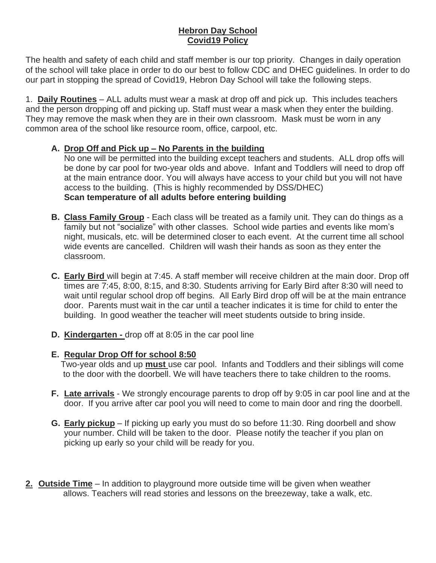## **Hebron Day School Covid19 Policy**

The health and safety of each child and staff member is our top priority. Changes in daily operation of the school will take place in order to do our best to follow CDC and DHEC guidelines. In order to do our part in stopping the spread of Covid19, Hebron Day School will take the following steps.

1. **Daily Routines** – ALL adults must wear a mask at drop off and pick up. This includes teachers and the person dropping off and picking up. Staff must wear a mask when they enter the building. They may remove the mask when they are in their own classroom. Mask must be worn in any common area of the school like resource room, office, carpool, etc.

## **A. Drop Off and Pick up – No Parents in the building**

No one will be permitted into the building except teachers and students. ALL drop offs will be done by car pool for two-year olds and above. Infant and Toddlers will need to drop off at the main entrance door. You will always have access to your child but you will not have access to the building. (This is highly recommended by DSS/DHEC) **Scan temperature of all adults before entering building**

- **B. Class Family Group** Each class will be treated as a family unit. They can do things as a family but not "socialize" with other classes. School wide parties and events like mom's night, musicals, etc. will be determined closer to each event. At the current time all school wide events are cancelled. Children will wash their hands as soon as they enter the classroom.
- **C. Early Bird** will begin at 7:45. A staff member will receive children at the main door. Drop off times are 7:45, 8:00, 8:15, and 8:30. Students arriving for Early Bird after 8:30 will need to wait until regular school drop off begins.All Early Bird drop off will be at the main entrance door. Parents must wait in the car until a teacher indicates it is time for child to enter the building. In good weather the teacher will meet students outside to bring inside.
- **D. Kindergarten -** drop off at 8:05 in the car pool line

# **E. Regular Drop Off for school 8:50**

 Two-year olds and up **must** use car pool. Infants and Toddlers and their siblings will come to the door with the doorbell. We will have teachers there to take children to the rooms.

- **F. Late arrivals** We strongly encourage parents to drop off by 9:05 in car pool line and at the door. If you arrive after car pool you will need to come to main door and ring the doorbell.
- **G. Early pickup** If picking up early you must do so before 11:30. Ring doorbell and show your number. Child will be taken to the door. Please notify the teacher if you plan on picking up early so your child will be ready for you.
- **2. Outside Time** In addition to playground more outside time will be given when weather allows. Teachers will read stories and lessons on the breezeway, take a walk, etc.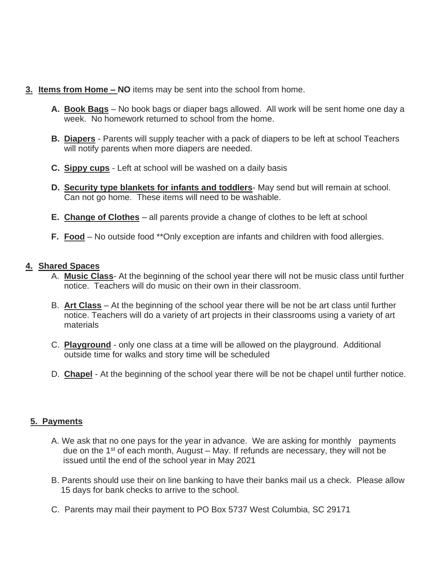- **3. Items from Home – NO** items may be sent into the school from home.
	- **A. Book Bags** No book bags or diaper bags allowed. All work will be sent home one day a week. No homework returned to school from the home.
	- **B. Diapers** Parents will supply teacher with a pack of diapers to be left at school Teachers will notify parents when more diapers are needed.
	- **C. Sippy cups** Left at school will be washed on a daily basis
	- **D. Security type blankets for infants and toddlers** May send but will remain at school. Can not go home. These items will need to be washable.
	- **E. Change of Clothes** all parents provide a change of clothes to be left at school
	- **F. Food** No outside food \*\*Only exception are infants and children with food allergies.

#### **4. Shared Spaces**

- A. **Music Class** At the beginning of the school year there will not be music class until further notice. Teachers will do music on their own in their classroom.
- B. **Art Class** At the beginning of the school year there will be not be art class until further notice. Teachers will do a variety of art projects in their classrooms using a variety of art materials
- C. **Playground** only one class at a time will be allowed on the playground. Additional outside time for walks and story time will be scheduled
- D. **Chapel** At the beginning of the school year there will be not be chapel until further notice.

## **5. Payments**

- A. We ask that no one pays for the year in advance. We are asking for monthly payments due on the  $1<sup>st</sup>$  of each month, August – May. If refunds are necessary, they will not be issued until the end of the school year in May 2021
- B. Parents should use their on line banking to have their banks mail us a check. Please allow 15 days for bank checks to arrive to the school.
- C. Parents may mail their payment to PO Box 5737 West Columbia, SC 29171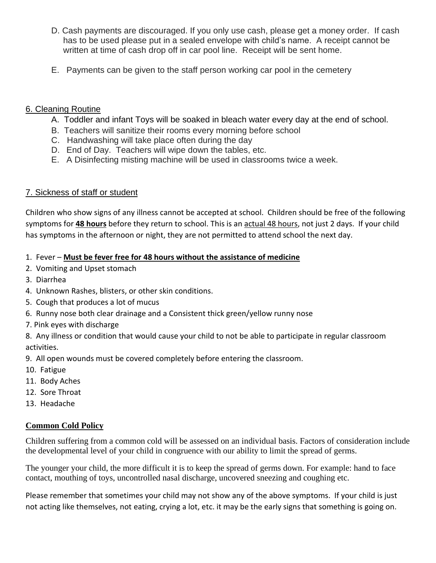- D. Cash payments are discouraged. If you only use cash, please get a money order. If cash has to be used please put in a sealed envelope with child's name. A receipt cannot be written at time of cash drop off in car pool line. Receipt will be sent home.
- E. Payments can be given to the staff person working car pool in the cemetery

### 6. Cleaning Routine

- A. Toddler and infant Toys will be soaked in bleach water every day at the end of school.
- B. Teachers will sanitize their rooms every morning before school
- C. Handwashing will take place often during the day
- D. End of Day. Teachers will wipe down the tables, etc.
- E. A Disinfecting misting machine will be used in classrooms twice a week.

## 7. Sickness of staff or student

Children who show signs of any illness cannot be accepted at school. Children should be free of the following symptoms for **48 hours** before they return to school. This is an actual 48 hours, not just 2 days. If your child has symptoms in the afternoon or night, they are not permitted to attend school the next day.

### 1. Fever – **Must be fever free for 48 hours without the assistance of medicine**

- 2. Vomiting and Upset stomach
- 3. Diarrhea
- 4. Unknown Rashes, blisters, or other skin conditions.
- 5. Cough that produces a lot of mucus
- 6. Runny nose both clear drainage and a Consistent thick green/yellow runny nose
- 7. Pink eyes with discharge

8. Any illness or condition that would cause your child to not be able to participate in regular classroom activities.

9. All open wounds must be covered completely before entering the classroom.

- 10. Fatigue
- 11. Body Aches
- 12. Sore Throat
- 13. Headache

#### **Common Cold Policy**

Children suffering from a common cold will be assessed on an individual basis. Factors of consideration include the developmental level of your child in congruence with our ability to limit the spread of germs.

The younger your child, the more difficult it is to keep the spread of germs down. For example: hand to face contact, mouthing of toys, uncontrolled nasal discharge, uncovered sneezing and coughing etc.

Please remember that sometimes your child may not show any of the above symptoms. If your child is just not acting like themselves, not eating, crying a lot, etc. it may be the early signs that something is going on.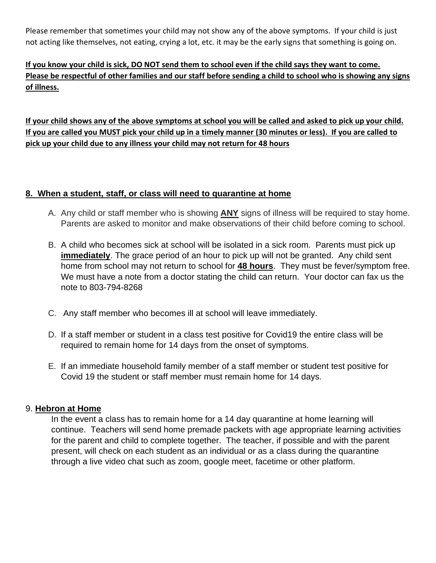Please remember that sometimes your child may not show any of the above symptoms. If your child is just not acting like themselves, not eating, crying a lot, etc. it may be the early signs that something is going on.

# **If you know your child is sick, DO NOT send them to school even if the child says they want to come. Please be respectful of other families and our staff before sending a child to school who is showing any signs of illness.**

**If your child shows any of the above symptoms at school you will be called and asked to pick up your child. If you are called you MUST pick your child up in a timely manner (30 minutes or less). If you are called to pick up your child due to any illness your child may not return for 48 hours**

### **8. When a student, staff, or class will need to quarantine at home**

- A. Any child or staff member who is showing **ANY** signs of illness will be required to stay home. Parents are asked to monitor and make observations of their child before coming to school.
- B. A child who becomes sick at school will be isolated in a sick room. Parents must pick up **immediately**. The grace period of an hour to pick up will not be granted. Any child sent home from school may not return to school for **48 hours**. They must be fever/symptom free. We must have a note from a doctor stating the child can return. Your doctor can fax us the note to 803-794-8268
- C. Any staff member who becomes ill at school will leave immediately.
- D. If a staff member or student in a class test positive for Covid19 the entire class will be required to remain home for 14 days from the onset of symptoms.
- E. If an immediate household family member of a staff member or student test positive for Covid 19 the student or staff member must remain home for 14 days.

#### 9. **Hebron at Home**

In the event a class has to remain home for a 14 day quarantine at home learning will continue. Teachers will send home premade packets with age appropriate learning activities for the parent and child to complete together. The teacher, if possible and with the parent present, will check on each student as an individual or as a class during the quarantine through a live video chat such as zoom, google meet, facetime or other platform.